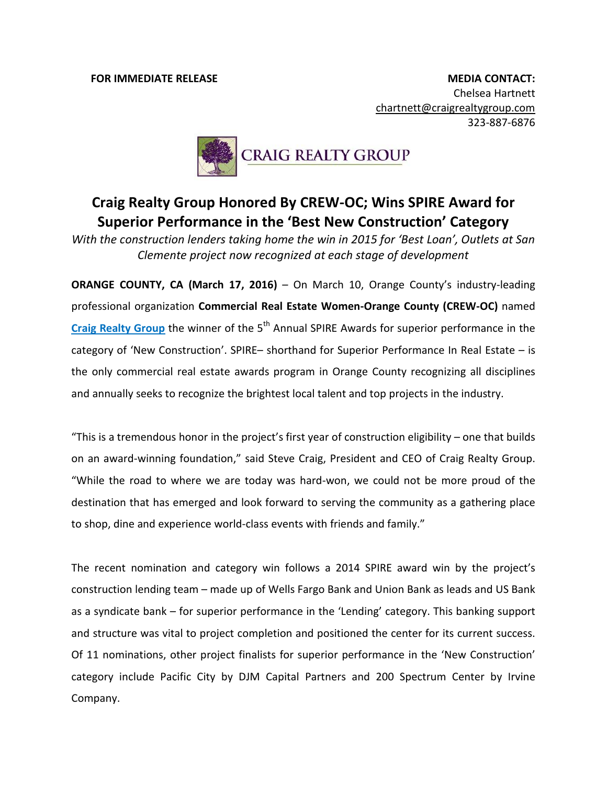**FOR IMMEDIATE RELEASE MEDIA CONTACT:** Chelsea Hartnett [chartnett@craigrealtygroup.com](mailto:chartnett@craigrealtygroup.com) 323-887-6876



## **Craig Realty Group Honored By CREW-OC; Wins SPIRE Award for Superior Performance in the 'Best New Construction' Category**

*With the construction lenders taking home the win in 2015 for 'Best Loan', Outlets at San Clemente project now recognized at each stage of development*

**ORANGE COUNTY, CA (March 17, 2016)** – On March 10, Orange County's industry-leading professional organization **Commercial Real Estate Women-Orange County (CREW-OC)** named Craig [Realty](http://www.craigrealtygroup.com/) Group the winner of the 5<sup>th</sup> Annual SPIRE Awards for superior performance in the category of 'New Construction'. SPIRE– shorthand for Superior Performance In Real Estate – is the only commercial real estate awards program in Orange County recognizing all disciplines and annually seeks to recognize the brightest local talent and top projects in the industry.

"This is a tremendous honor in the project's first year of construction eligibility – one that builds on an award-winning foundation," said Steve Craig, President and CEO of Craig Realty Group. "While the road to where we are today was hard-won, we could not be more proud of the destination that has emerged and look forward to serving the community as a gathering place to shop, dine and experience world-class events with friends and family."

The recent nomination and category win follows a 2014 SPIRE award win by the project's construction lending team – made up of Wells Fargo Bank and Union Bank as leads and US Bank as a syndicate bank – for superior performance in the 'Lending' category. This banking support and structure was vital to project completion and positioned the center for its current success. Of 11 nominations, other project finalists for superior performance in the 'New Construction' category include Pacific City by DJM Capital Partners and 200 Spectrum Center by Irvine Company.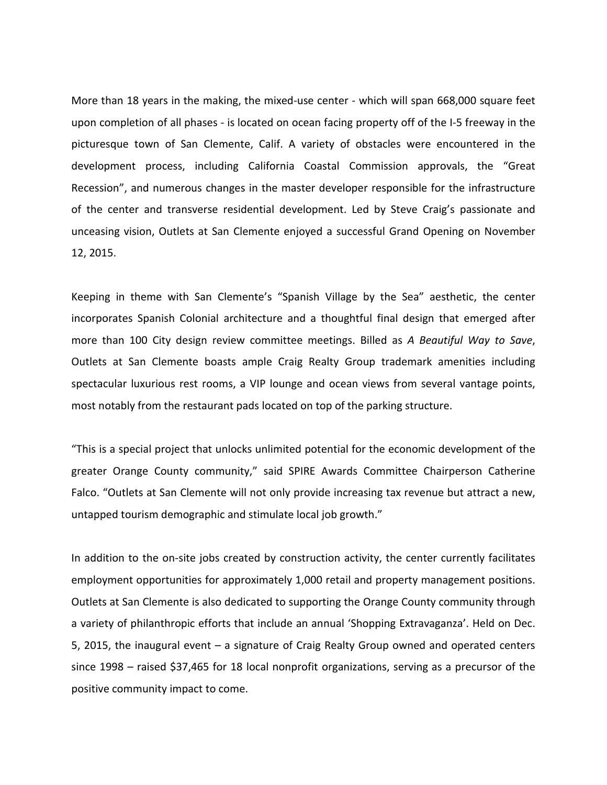More than 18 years in the making, the mixed-use center - which will span 668,000 square feet upon completion of all phases - is located on ocean facing property off of the I-5 freeway in the picturesque town of San Clemente, Calif. A variety of obstacles were encountered in the development process, including California Coastal Commission approvals, the "Great Recession", and numerous changes in the master developer responsible for the infrastructure of the center and transverse residential development. Led by Steve Craig's passionate and unceasing vision, Outlets at San Clemente enjoyed a successful Grand Opening on November 12, 2015.

Keeping in theme with San Clemente's "Spanish Village by the Sea" aesthetic, the center incorporates Spanish Colonial architecture and a thoughtful final design that emerged after more than 100 City design review committee meetings. Billed as *A Beautiful Way to Save*, Outlets at San Clemente boasts ample Craig Realty Group trademark amenities including spectacular luxurious rest rooms, a VIP lounge and ocean views from several vantage points, most notably from the restaurant pads located on top of the parking structure.

"This is a special project that unlocks unlimited potential for the economic development of the greater Orange County community," said SPIRE Awards Committee Chairperson Catherine Falco. "Outlets at San Clemente will not only provide increasing tax revenue but attract a new, untapped tourism demographic and stimulate local job growth."

In addition to the on-site jobs created by construction activity, the center currently facilitates employment opportunities for approximately 1,000 retail and property management positions. Outlets at San Clemente is also dedicated to supporting the Orange County community through a variety of philanthropic efforts that include an annual 'Shopping Extravaganza'. Held on Dec. 5, 2015, the inaugural event – a signature of Craig Realty Group owned and operated centers since 1998 – raised \$37,465 for 18 local nonprofit organizations, serving as a precursor of the positive community impact to come.